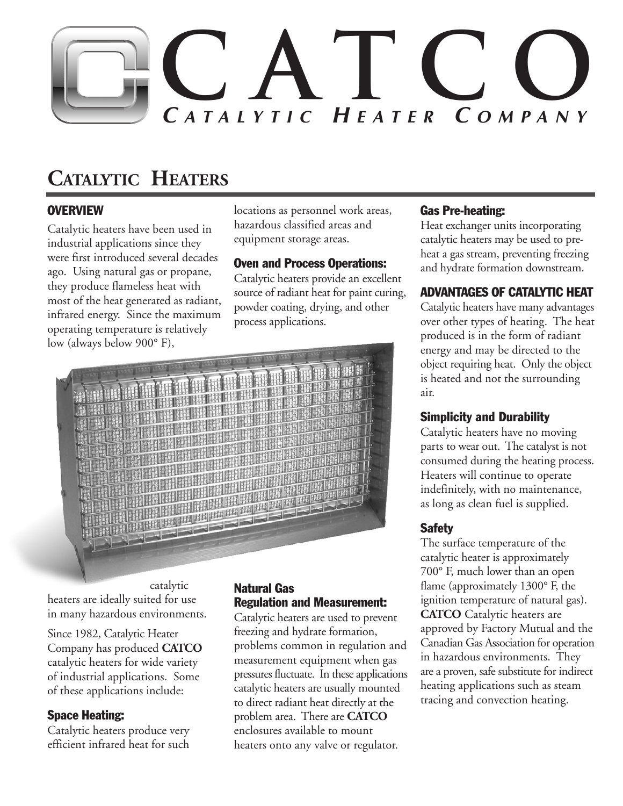

# **CATALYTIC HEATERS**

# **OVERVIEW**

Catalytic heaters have been used in industrial applications since they were first introduced several decades ago. Using natural gas or propane, they produce flameless heat with most of the heat generated as radiant, infrared energy. Since the maximum operating temperature is relatively low (always below 900° F),

locations as personnel work areas, hazardous classified areas and equipment storage areas.

#### Oven and Process Operations:

Catalytic heaters provide an excellent source of radiant heat for paint curing, powder coating, drying, and other process applications.



catalytic heaters are ideally suited for use in many hazardous environments.

Since 1982, Catalytic Heater Company has produced **CATCO** catalytic heaters for wide variety of industrial applications. Some of these applications include:

# Space Heating:

Catalytic heaters produce very efficient infrared heat for such

## Natural Gas Regulation and Measurement:

Catalytic heaters are used to prevent freezing and hydrate formation, problems common in regulation and measurement equipment when gas pressures fluctuate. In these applications catalytic heaters are usually mounted to direct radiant heat directly at the problem area. There are **CATCO** enclosures available to mount heaters onto any valve or regulator.

## Gas Pre-heating:

Heat exchanger units incorporating catalytic heaters may be used to preheat a gas stream, preventing freezing and hydrate formation downstream.

# ADVANTAGES OF CATALYTIC HEAT

Catalytic heaters have many advantages over other types of heating. The heat produced is in the form of radiant energy and may be directed to the object requiring heat. Only the object is heated and not the surrounding air.

# Simplicity and Durability

Catalytic heaters have no moving parts to wear out. The catalyst is not consumed during the heating process. Heaters will continue to operate indefinitely, with no maintenance, as long as clean fuel is supplied.

# Safety

The surface temperature of the catalytic heater is approximately 700° F, much lower than an open flame (approximately 1300° F, the ignition temperature of natural gas). **CATCO** Catalytic heaters are approved by Factory Mutual and the Canadian Gas Association for operation in hazardous environments. They are a proven, safe substitute for indirect heating applications such as steam tracing and convection heating.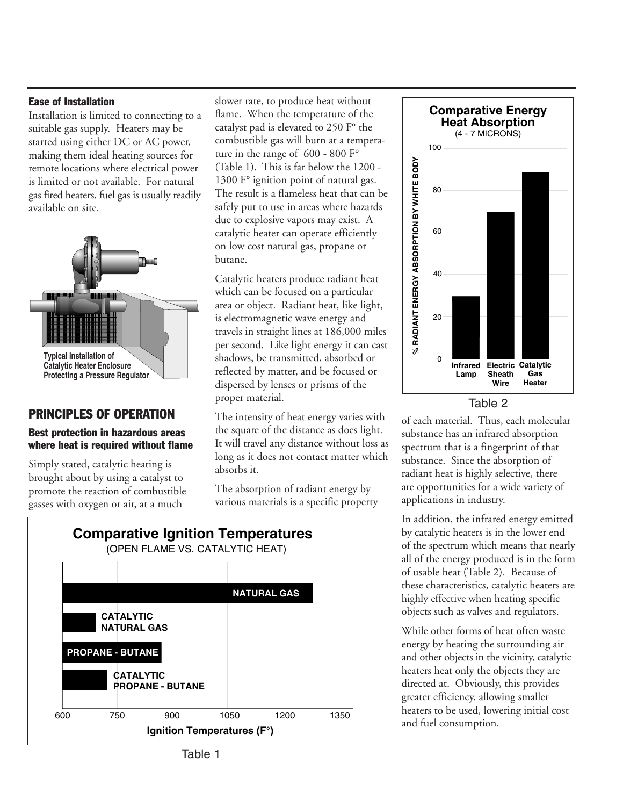#### Ease of Installation

Installation is limited to connecting to a suitable gas supply. Heaters may be started using either DC or AC power, making them ideal heating sources for remote locations where electrical power is limited or not available. For natural gas fired heaters, fuel gas is usually readily available on site.



# PRINCIPLES OF OPERATION

#### Best protection in hazardous areas where heat is required without flame

Simply stated, catalytic heating is brought about by using a catalyst to promote the reaction of combustible gasses with oxygen or air, at a much

slower rate, to produce heat without flame. When the temperature of the catalyst pad is elevated to 250 F° the combustible gas will burn at a temperature in the range of 600 - 800 F° (Table 1). This is far below the 1200 - 1300 F° ignition point of natural gas. The result is a flameless heat that can be safely put to use in areas where hazards due to explosive vapors may exist. A catalytic heater can operate efficiently on low cost natural gas, propane or butane.

Catalytic heaters produce radiant heat which can be focused on a particular area or object. Radiant heat, like light, is electromagnetic wave energy and travels in straight lines at 186,000 miles per second. Like light energy it can cast shadows, be transmitted, absorbed or reflected by matter, and be focused or dispersed by lenses or prisms of the proper material.

The intensity of heat energy varies with the square of the distance as does light. It will travel any distance without loss as long as it does not contact matter which absorbs it.

The absorption of radiant energy by various materials is a specific property





#### Table 2

of each material. Thus, each molecular substance has an infrared absorption spectrum that is a fingerprint of that substance. Since the absorption of radiant heat is highly selective, there are opportunities for a wide variety of applications in industry.

In addition, the infrared energy emitted by catalytic heaters is in the lower end of the spectrum which means that nearly all of the energy produced is in the form of usable heat (Table 2). Because of these characteristics, catalytic heaters are highly effective when heating specific objects such as valves and regulators.

While other forms of heat often waste energy by heating the surrounding air and other objects in the vicinity, catalytic heaters heat only the objects they are directed at. Obviously, this provides greater efficiency, allowing smaller heaters to be used, lowering initial cost and fuel consumption.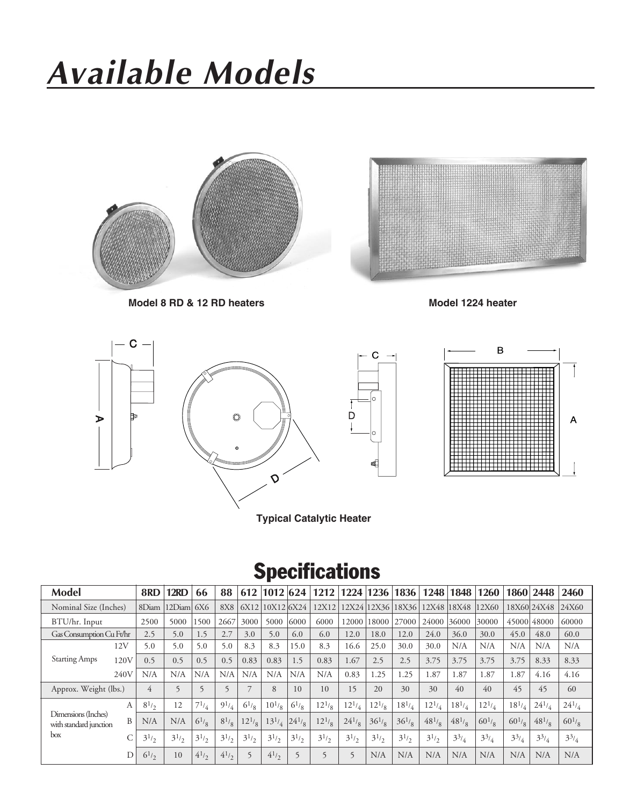

**Model 8 RD & 12 RD heaters**

**Model 1224 heater**



**Typical Catalytic Heater**

# **Specifications**

| Model                                                          | 8 <sub>RD</sub> | 12RD           | 66        | 88         | 612            | 1012 624   |            | 1212       | 1224           | 1236         | 1836              | 1248         | 1848         | 1260         | 1860         | 2448         | 2460         |
|----------------------------------------------------------------|-----------------|----------------|-----------|------------|----------------|------------|------------|------------|----------------|--------------|-------------------|--------------|--------------|--------------|--------------|--------------|--------------|
| Nominal Size (Inches)                                          | 8Diam           | 12Diam         | 6X6       | <b>8X8</b> | 6X12           | 10X12 6X24 |            | 12X12      |                |              | 12X24 12X36 18X36 | 12X48 18X48  |              | 12X60        |              | 18X6024X48   | 24X60        |
| BTU/hr. Input                                                  | 2500            | 5000           | 1500      | 2667       | 3000           | 5000       | 6000       | 6000       | 12000          | 18000        | 27000             | 24000        | 36000        | 30000        |              | 45000 48000  | 60000        |
| Gas Consumption Cu Ft/hr                                       | 2.5             | 5.0            | 1.5       | 2.7        | 3.0            | 5.0        | 6.0        | 6.0        | 12.0           | 18.0         | 12.0              | 24.0         | 36.0         | 30.0         | 45.0         | 48.0         | 60.0         |
| 12V                                                            | 5.0             | 5.0            | 5.0       | 5.0        | 8.3            | 8.3        | 15.0       | 8.3        | 16.6           | 25.0         | 30.0              | 30.0         | N/A          | N/A          | N/A          | N/A          | N/A          |
| <b>Starting Amps</b><br>120V                                   | 0.5             | 0.5            | 0.5       | 0.5        | 0.83           | 0.83       | 1.5        | 0.83       | 1.67           | 2.5          | 2.5               | 3.75         | 3.75         | 3.75         | 3.75         | 8.33         | 8.33         |
| 240V                                                           | N/A             | N/A            | N/A       | N/A        | N/A            | N/A        | N/A        | N/A        | 0.83           | 1.25         | .25               | 1.87         | 1.87         | 1.87         | 1.87         | 4.16         | 4.16         |
| Approx. Weight (lbs.)                                          | 4               | $\overline{5}$ |           |            | $\overline{ }$ | 8          | 10         | 10         | 15             | 20           | 30                | 30           | 40           | 40           | 45           | 45           | 60           |
| A<br>Dimensions (Inches)<br>B<br>with standard junction<br>box | $8^{1/2}$       | 12             | $7^{1/4}$ | $9^{1/4}$  | $6^{1/8}$      | $10^{1/8}$ | $6^{1/8}$  | $12^{1/8}$ | $12^{1/4}$     | $12^{1/8}$   | $18^{1/4}$        | $12^{1/4}$   | $18^{1/4}$   | $12^{1/4}$   | $18^{1/4}$   | $24^{1/3}$   | $24^{1/4}$   |
|                                                                | N/A             | N/A            | $6^{1}/8$ | $8^{1}/8$  | $12^{1/8}$     | $13^{1/4}$ | $24^{1/8}$ | $12^{1/8}$ | $24^{1/8}$     | $36^{1}_{8}$ | $36^{1}_{8}$      | $48^{1}_{6}$ | $48^{1}_{6}$ | $60^{1/2}$   | $60^{1/2}$   | $48^{1}_{8}$ | $60^{1/8}$   |
|                                                                | $3^{1/2}$       | $3^{1/2}$      | $3^{1/2}$ | $3^{1/2}$  | $3^{1/2}$      | $3^{1/2}$  | $3^{1/2}$  | $3^{1/2}$  | $3^{1/2}$      | $3^{1/2}$    | $3^{1/2}$         | $3^{1/2}$    | $3^{3}/_{4}$ | $3^{3}/_{4}$ | $3^{3}/_{4}$ | $3^{3}/_{4}$ | $3^{3}/_{4}$ |
| D                                                              | $6^{1/2}$       | 10             | $4^{1/2}$ | $4^{1/2}$  | $\overline{5}$ | $4^{1/2}$  |            | 5          | $\overline{5}$ | N/A          | N/A               | N/A          | N/A          | N/A          | N/A          | N/A          | N/A          |